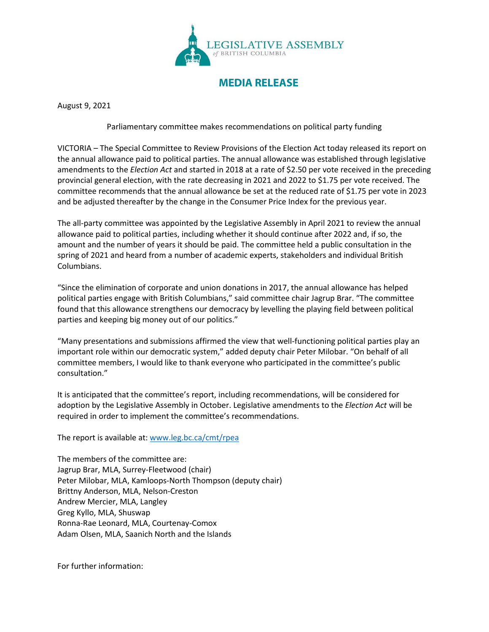

**MEDIA RELEASE**

August 9, 2021

Parliamentary committee makes recommendations on political party funding

VICTORIA – The Special Committee to Review Provisions of the Election Act today released its report on the annual allowance paid to political parties. The annual allowance was established through legislative amendments to the *Election Act* and started in 2018 at a rate of \$2.50 per vote received in the preceding provincial general election, with the rate decreasing in 2021 and 2022 to \$1.75 per vote received. The committee recommends that the annual allowance be set at the reduced rate of \$1.75 per vote in 2023 and be adjusted thereafter by the change in the Consumer Price Index for the previous year.

The all-party committee was appointed by the Legislative Assembly in April 2021 to review the annual allowance paid to political parties, including whether it should continue after 2022 and, if so, the amount and the number of years it should be paid. The committee held a public consultation in the spring of 2021 and heard from a number of academic experts, stakeholders and individual British Columbians.

"Since the elimination of corporate and union donations in 2017, the annual allowance has helped political parties engage with British Columbians," said committee chair Jagrup Brar. "The committee found that this allowance strengthens our democracy by levelling the playing field between political parties and keeping big money out of our politics."

"Many presentations and submissions affirmed the view that well-functioning political parties play an important role within our democratic system," added deputy chair Peter Milobar. "On behalf of all committee members, I would like to thank everyone who participated in the committee's public consultation."

It is anticipated that the committee's report, including recommendations, will be considered for adoption by the Legislative Assembly in October. Legislative amendments to the *Election Act* will be required in order to implement the committee's recommendations.

The report is available at: [www.leg.bc.ca/cmt/rpea](http://www.leg.bc.ca/cmt/rpea)

The members of the committee are: Jagrup Brar, MLA, Surrey-Fleetwood (chair) Peter Milobar, MLA, Kamloops-North Thompson (deputy chair) Brittny Anderson, MLA, Nelson-Creston Andrew Mercier, MLA, Langley Greg Kyllo, MLA, Shuswap Ronna-Rae Leonard, MLA, Courtenay-Comox Adam Olsen, MLA, Saanich North and the Islands

For further information: